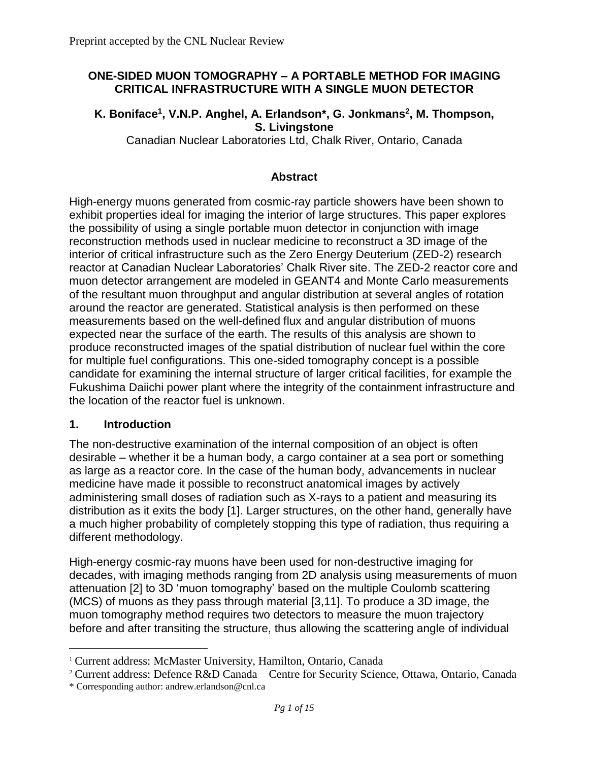#### **ONE-SIDED MUON TOMOGRAPHY – A PORTABLE METHOD FOR IMAGING CRITICAL INFRASTRUCTURE WITH A SINGLE MUON DETECTOR**

#### **K. Boniface<sup>1</sup> , V.N.P. Anghel, A. Erlandson\*, G. Jonkmans<sup>2</sup> , M. Thompson, S. Livingstone**

Canadian Nuclear Laboratories Ltd, Chalk River, Ontario, Canada

#### **Abstract**

High-energy muons generated from cosmic-ray particle showers have been shown to exhibit properties ideal for imaging the interior of large structures. This paper explores the possibility of using a single portable muon detector in conjunction with image reconstruction methods used in nuclear medicine to reconstruct a 3D image of the interior of critical infrastructure such as the Zero Energy Deuterium (ZED-2) research reactor at Canadian Nuclear Laboratories' Chalk River site. The ZED-2 reactor core and muon detector arrangement are modeled in GEANT4 and Monte Carlo measurements of the resultant muon throughput and angular distribution at several angles of rotation around the reactor are generated. Statistical analysis is then performed on these measurements based on the well-defined flux and angular distribution of muons expected near the surface of the earth. The results of this analysis are shown to produce reconstructed images of the spatial distribution of nuclear fuel within the core for multiple fuel configurations. This one-sided tomography concept is a possible candidate for examining the internal structure of larger critical facilities, for example the Fukushima Daiichi power plant where the integrity of the containment infrastructure and the location of the reactor fuel is unknown.

#### **1. Introduction**

 $\overline{a}$ 

The non-destructive examination of the internal composition of an object is often desirable – whether it be a human body, a cargo container at a sea port or something as large as a reactor core. In the case of the human body, advancements in nuclear medicine have made it possible to reconstruct anatomical images by actively administering small doses of radiation such as X-rays to a patient and measuring its distribution as it exits the body [1]. Larger structures, on the other hand, generally have a much higher probability of completely stopping this type of radiation, thus requiring a different methodology.

High-energy cosmic-ray muons have been used for non-destructive imaging for decades, with imaging methods ranging from 2D analysis using measurements of muon attenuation [2] to 3D 'muon tomography' based on the multiple Coulomb scattering (MCS) of muons as they pass through material [3,11]. To produce a 3D image, the muon tomography method requires two detectors to measure the muon trajectory before and after transiting the structure, thus allowing the scattering angle of individual

<sup>&</sup>lt;sup>1</sup> Current address: McMaster University, Hamilton, Ontario, Canada

<sup>2</sup> Current address: Defence R&D Canada – Centre for Security Science, Ottawa, Ontario, Canada

<sup>\*</sup> Corresponding author: andrew.erlandson@cnl.ca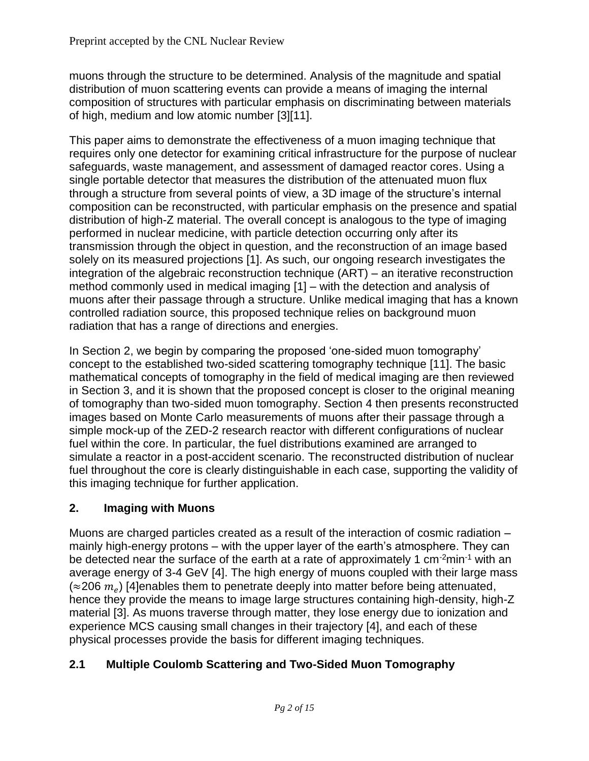muons through the structure to be determined. Analysis of the magnitude and spatial distribution of muon scattering events can provide a means of imaging the internal composition of structures with particular emphasis on discriminating between materials of high, medium and low atomic number [3][11].

This paper aims to demonstrate the effectiveness of a muon imaging technique that requires only one detector for examining critical infrastructure for the purpose of nuclear safeguards, waste management, and assessment of damaged reactor cores. Using a single portable detector that measures the distribution of the attenuated muon flux through a structure from several points of view, a 3D image of the structure's internal composition can be reconstructed, with particular emphasis on the presence and spatial distribution of high-Z material. The overall concept is analogous to the type of imaging performed in nuclear medicine, with particle detection occurring only after its transmission through the object in question, and the reconstruction of an image based solely on its measured projections [1]. As such, our ongoing research investigates the integration of the algebraic reconstruction technique (ART) – an iterative reconstruction method commonly used in medical imaging [1] – with the detection and analysis of muons after their passage through a structure. Unlike medical imaging that has a known controlled radiation source, this proposed technique relies on background muon radiation that has a range of directions and energies.

In Section 2, we begin by comparing the proposed 'one-sided muon tomography' concept to the established two-sided scattering tomography technique [11]. The basic mathematical concepts of tomography in the field of medical imaging are then reviewed in Section 3, and it is shown that the proposed concept is closer to the original meaning of tomography than two-sided muon tomography. Section 4 then presents reconstructed images based on Monte Carlo measurements of muons after their passage through a simple mock-up of the ZED-2 research reactor with different configurations of nuclear fuel within the core. In particular, the fuel distributions examined are arranged to simulate a reactor in a post-accident scenario. The reconstructed distribution of nuclear fuel throughout the core is clearly distinguishable in each case, supporting the validity of this imaging technique for further application.

# **2. Imaging with Muons**

Muons are charged particles created as a result of the interaction of cosmic radiation – mainly high-energy protons – with the upper layer of the earth's atmosphere. They can be detected near the surface of the earth at a rate of approximately 1 cm<sup>-2</sup>min<sup>-1</sup> with an average energy of 3-4 GeV [4]. The high energy of muons coupled with their large mass (≈206  $m_e$ ) [4]enables them to penetrate deeply into matter before being attenuated, hence they provide the means to image large structures containing high-density, high-Z material [3]. As muons traverse through matter, they lose energy due to ionization and experience MCS causing small changes in their trajectory [4], and each of these physical processes provide the basis for different imaging techniques.

## **2.1 Multiple Coulomb Scattering and Two-Sided Muon Tomography**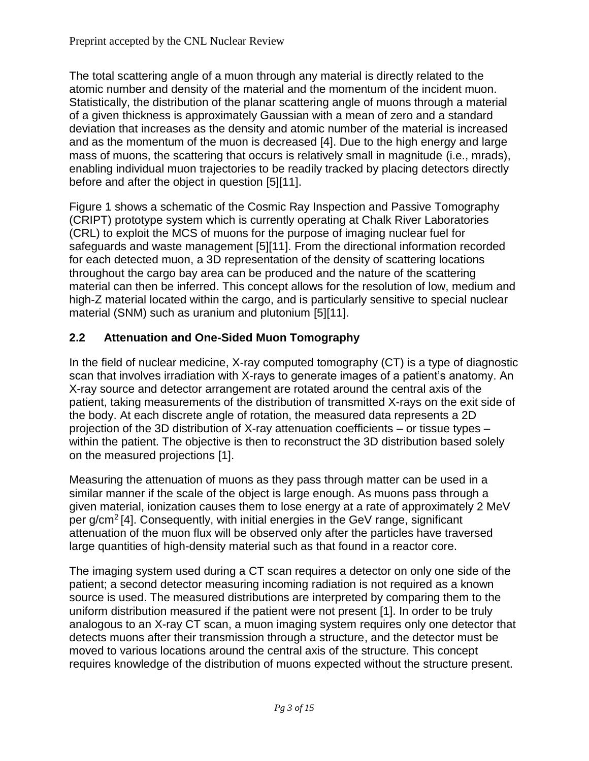The total scattering angle of a muon through any material is directly related to the atomic number and density of the material and the momentum of the incident muon. Statistically, the distribution of the planar scattering angle of muons through a material of a given thickness is approximately Gaussian with a mean of zero and a standard deviation that increases as the density and atomic number of the material is increased and as the momentum of the muon is decreased [4]. Due to the high energy and large mass of muons, the scattering that occurs is relatively small in magnitude (i.e., mrads), enabling individual muon trajectories to be readily tracked by placing detectors directly before and after the object in question [5][11].

Figure 1 shows a schematic of the Cosmic Ray Inspection and Passive Tomography (CRIPT) prototype system which is currently operating at Chalk River Laboratories (CRL) to exploit the MCS of muons for the purpose of imaging nuclear fuel for safeguards and waste management [5][11]. From the directional information recorded for each detected muon, a 3D representation of the density of scattering locations throughout the cargo bay area can be produced and the nature of the scattering material can then be inferred. This concept allows for the resolution of low, medium and high-Z material located within the cargo, and is particularly sensitive to special nuclear material (SNM) such as uranium and plutonium [5][11].

# **2.2 Attenuation and One-Sided Muon Tomography**

In the field of nuclear medicine, X-ray computed tomography (CT) is a type of diagnostic scan that involves irradiation with X-rays to generate images of a patient's anatomy. An X-ray source and detector arrangement are rotated around the central axis of the patient, taking measurements of the distribution of transmitted X-rays on the exit side of the body. At each discrete angle of rotation, the measured data represents a 2D projection of the 3D distribution of X-ray attenuation coefficients – or tissue types – within the patient. The objective is then to reconstruct the 3D distribution based solely on the measured projections [1].

Measuring the attenuation of muons as they pass through matter can be used in a similar manner if the scale of the object is large enough. As muons pass through a given material, ionization causes them to lose energy at a rate of approximately 2 MeV per g/cm<sup>2</sup> [4]. Consequently, with initial energies in the GeV range, significant attenuation of the muon flux will be observed only after the particles have traversed large quantities of high-density material such as that found in a reactor core.

The imaging system used during a CT scan requires a detector on only one side of the patient; a second detector measuring incoming radiation is not required as a known source is used. The measured distributions are interpreted by comparing them to the uniform distribution measured if the patient were not present [1]. In order to be truly analogous to an X-ray CT scan, a muon imaging system requires only one detector that detects muons after their transmission through a structure, and the detector must be moved to various locations around the central axis of the structure. This concept requires knowledge of the distribution of muons expected without the structure present.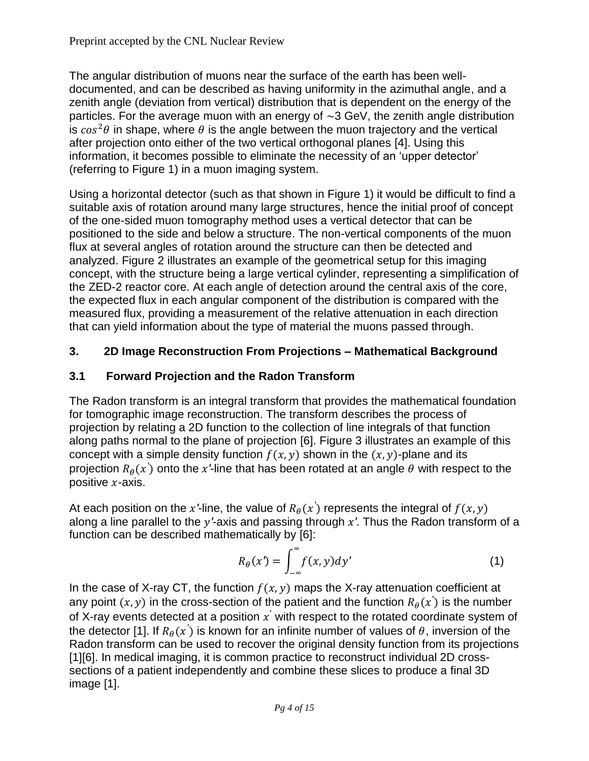The angular distribution of muons near the surface of the earth has been welldocumented, and can be described as having uniformity in the azimuthal angle, and a zenith angle (deviation from vertical) distribution that is dependent on the energy of the particles. For the average muon with an energy of  $\sim$ 3 GeV, the zenith angle distribution is  $cos^2\theta$  in shape, where  $\theta$  is the angle between the muon trajectory and the vertical after projection onto either of the two vertical orthogonal planes [4]. Using this information, it becomes possible to eliminate the necessity of an 'upper detector' (referring to Figure 1) in a muon imaging system.

Using a horizontal detector (such as that shown in Figure 1) it would be difficult to find a suitable axis of rotation around many large structures, hence the initial proof of concept of the one-sided muon tomography method uses a vertical detector that can be positioned to the side and below a structure. The non-vertical components of the muon flux at several angles of rotation around the structure can then be detected and analyzed. Figure 2 illustrates an example of the geometrical setup for this imaging concept, with the structure being a large vertical cylinder, representing a simplification of the ZED-2 reactor core. At each angle of detection around the central axis of the core, the expected flux in each angular component of the distribution is compared with the measured flux, providing a measurement of the relative attenuation in each direction that can yield information about the type of material the muons passed through.

# **3. 2D Image Reconstruction From Projections – Mathematical Background**

## **3.1 Forward Projection and the Radon Transform**

The Radon transform is an integral transform that provides the mathematical foundation for tomographic image reconstruction. The transform describes the process of projection by relating a 2D function to the collection of line integrals of that function along paths normal to the plane of projection [6]. Figure 3 illustrates an example of this concept with a simple density function  $f(x, y)$  shown in the  $(x, y)$ -plane and its projection  $R_{\theta}(x^{'})$  onto the  $x^{'\text{-}}$ line that has been rotated at an angle  $\theta$  with respect to the *′* positive  $x$ -axis.

At each position on the  $x$ '-line, the value of  $R_{\theta}(x^{'})$  represents the integral of  $f(x, y)$ *′* along a line parallel to the *y*'-axis and passing through x'. Thus the Radon transform of a function can be described mathematically by [6]:

$$
R_{\theta}(x') = \int_{-\infty}^{\infty} f(x, y) dy' \tag{1}
$$

In the case of X-ray CT, the function  $f(x, y)$  maps the X-ray attenuation coefficient at any point  $(x, y)$  in the cross-section of the patient and the function  $R_{\theta}(x^{'})$  is the number ′ of X-ray events detected at a position  $x^{'}$  with respect to the rotated coordinate system of the detector [1]. If  $R_{\theta}(x^{'})$  is known for an infinite number of values of  $\theta$ , inversion of the *′* Radon transform can be used to recover the original density function from its projections [1][6]. In medical imaging, it is common practice to reconstruct individual 2D crosssections of a patient independently and combine these slices to produce a final 3D image [1].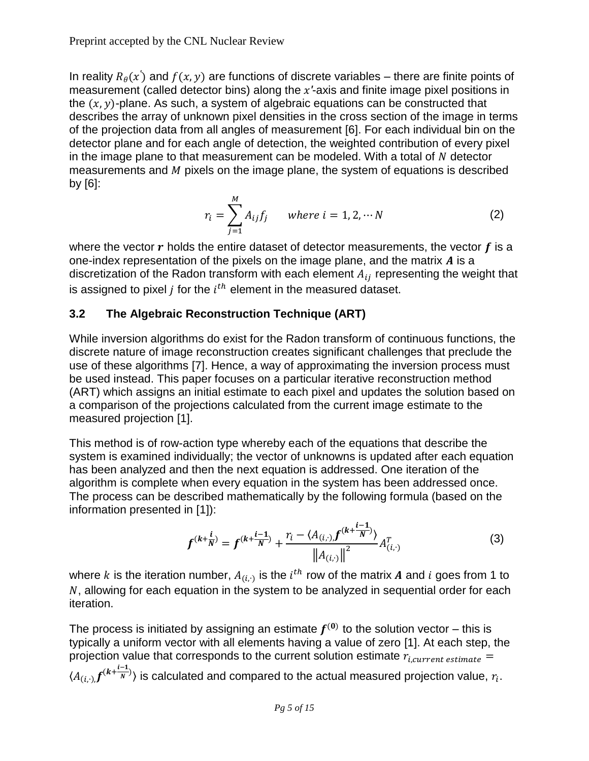In reality  $R_{\theta}(x')$  and  $f(x, y)$  are functions of discrete variables – there are finite points of *′* measurement (called detector bins) along the x'-axis and finite image pixel positions in the  $(x, y)$ -plane. As such, a system of algebraic equations can be constructed that describes the array of unknown pixel densities in the cross section of the image in terms of the projection data from all angles of measurement [6]. For each individual bin on the detector plane and for each angle of detection, the weighted contribution of every pixel in the image plane to that measurement can be modeled. With a total of  $N$  detector measurements and  *pixels on the image plane, the system of equations is described* by [6]:

$$
r_i = \sum_{j=1}^{M} A_{ij} f_j \qquad \text{where } i = 1, 2, \cdots N \tag{2}
$$

where the vector  $r$  holds the entire dataset of detector measurements, the vector  $f$  is a one-index representation of the pixels on the image plane, and the matrix  $A$  is a discretization of the Radon transform with each element  $A_{ij}$  representing the weight that is assigned to pixel *j* for the  $i^{th}$  element in the measured dataset.

## **3.2 The Algebraic Reconstruction Technique (ART)**

While inversion algorithms do exist for the Radon transform of continuous functions, the discrete nature of image reconstruction creates significant challenges that preclude the use of these algorithms [7]. Hence, a way of approximating the inversion process must be used instead. This paper focuses on a particular iterative reconstruction method (ART) which assigns an initial estimate to each pixel and updates the solution based on a comparison of the projections calculated from the current image estimate to the measured projection [1].

This method is of row-action type whereby each of the equations that describe the system is examined individually; the vector of unknowns is updated after each equation has been analyzed and then the next equation is addressed. One iteration of the algorithm is complete when every equation in the system has been addressed once. The process can be described mathematically by the following formula (based on the information presented in [1]):

$$
f^{(k+\frac{i}{N})} = f^{(k+\frac{i-1}{N})} + \frac{r_i - \langle A_{(i,\cdot),f}^{(k+\frac{i-1}{N})} \rangle}{\left\| A_{(i,\cdot)} \right\|^2} A_{(i,\cdot)}^T
$$
 (3)

where  $k$  is the iteration number,  $A_{(i,\cdot)}$  is the  $i^{th}$  row of the matrix  $\boldsymbol{A}$  and  $i$  goes from 1 to  $N$ , allowing for each equation in the system to be analyzed in sequential order for each iteration.

The process is initiated by assigning an estimate  $f^{(0)}$  to the solution vector – this is typically a uniform vector with all elements having a value of zero [1]. At each step, the projection value that corresponds to the current solution estimate  $r_{i, current \ estimate}$  =  $\langle A_{(i,\cdot),}f^{(k+\tfrac{i-1}{N})}$  $(\frac{1}{N})$  is calculated and compared to the actual measured projection value,  $r_i$ .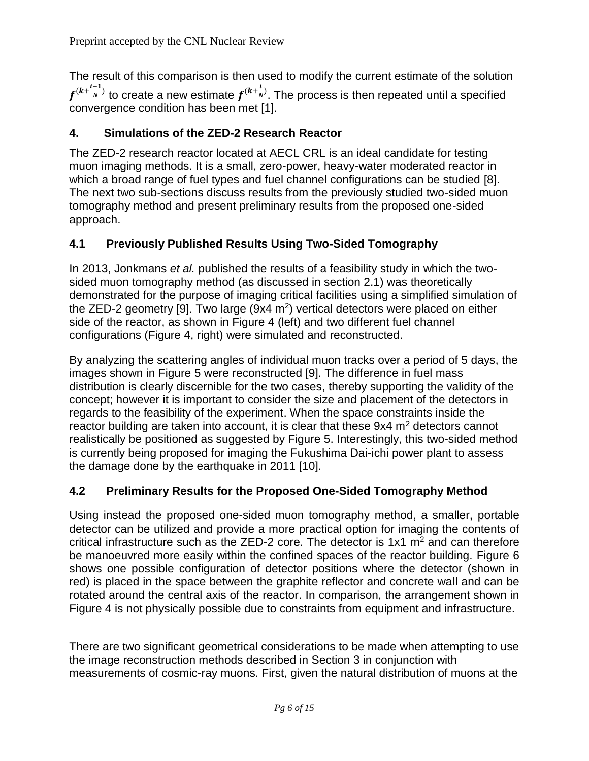The result of this comparison is then used to modify the current estimate of the solution  $f^{(k+\frac{i-1}{N})}$  $\frac{1}{N}^{(k+1)}$  to create a new estimate  $f^{(k+\frac{t}{N})}$  $\frac{1}{N}$ ). The process is then repeated until a specified convergence condition has been met [1].

## **4. Simulations of the ZED-2 Research Reactor**

The ZED-2 research reactor located at AECL CRL is an ideal candidate for testing muon imaging methods. It is a small, zero-power, heavy-water moderated reactor in which a broad range of fuel types and fuel channel configurations can be studied [8]. The next two sub-sections discuss results from the previously studied two-sided muon tomography method and present preliminary results from the proposed one-sided approach.

# **4.1 Previously Published Results Using Two-Sided Tomography**

In 2013, Jonkmans *et al.* published the results of a feasibility study in which the twosided muon tomography method (as discussed in section 2.1) was theoretically demonstrated for the purpose of imaging critical facilities using a simplified simulation of the ZED-2 geometry [9]. Two large ( $9x4$  m<sup>2</sup>) vertical detectors were placed on either side of the reactor, as shown in Figure 4 (left) and two different fuel channel configurations (Figure 4, right) were simulated and reconstructed.

By analyzing the scattering angles of individual muon tracks over a period of 5 days, the images shown in Figure 5 were reconstructed [9]. The difference in fuel mass distribution is clearly discernible for the two cases, thereby supporting the validity of the concept; however it is important to consider the size and placement of the detectors in regards to the feasibility of the experiment. When the space constraints inside the reactor building are taken into account, it is clear that these  $9x4 \, \text{m}^2$  detectors cannot realistically be positioned as suggested by Figure 5. Interestingly, this two-sided method is currently being proposed for imaging the Fukushima Dai-ichi power plant to assess the damage done by the earthquake in 2011 [10].

# **4.2 Preliminary Results for the Proposed One-Sided Tomography Method**

Using instead the proposed one-sided muon tomography method, a smaller, portable detector can be utilized and provide a more practical option for imaging the contents of critical infrastructure such as the ZED-2 core. The detector is  $1x1$  m<sup>2</sup> and can therefore be manoeuvred more easily within the confined spaces of the reactor building. Figure 6 shows one possible configuration of detector positions where the detector (shown in red) is placed in the space between the graphite reflector and concrete wall and can be rotated around the central axis of the reactor. In comparison, the arrangement shown in Figure 4 is not physically possible due to constraints from equipment and infrastructure.

There are two significant geometrical considerations to be made when attempting to use the image reconstruction methods described in Section 3 in conjunction with measurements of cosmic-ray muons. First, given the natural distribution of muons at the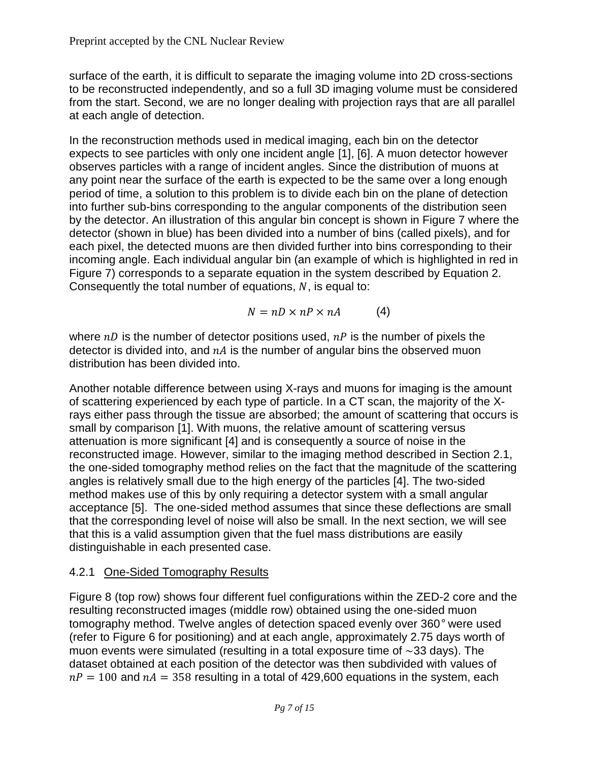surface of the earth, it is difficult to separate the imaging volume into 2D cross-sections to be reconstructed independently, and so a full 3D imaging volume must be considered from the start. Second, we are no longer dealing with projection rays that are all parallel at each angle of detection.

In the reconstruction methods used in medical imaging, each bin on the detector expects to see particles with only one incident angle [1], [6]. A muon detector however observes particles with a range of incident angles. Since the distribution of muons at any point near the surface of the earth is expected to be the same over a long enough period of time, a solution to this problem is to divide each bin on the plane of detection into further sub-bins corresponding to the angular components of the distribution seen by the detector. An illustration of this angular bin concept is shown in Figure 7 where the detector (shown in blue) has been divided into a number of bins (called pixels), and for each pixel, the detected muons are then divided further into bins corresponding to their incoming angle. Each individual angular bin (an example of which is highlighted in red in Figure 7) corresponds to a separate equation in the system described by Equation 2. Consequently the total number of equations,  $N$ , is equal to:

$$
N = nD \times nP \times nA \tag{4}
$$

where  $nD$  is the number of detector positions used,  $nP$  is the number of pixels the detector is divided into, and  $nA$  is the number of angular bins the observed muon distribution has been divided into.

Another notable difference between using X-rays and muons for imaging is the amount of scattering experienced by each type of particle. In a CT scan, the majority of the Xrays either pass through the tissue are absorbed; the amount of scattering that occurs is small by comparison [1]. With muons, the relative amount of scattering versus attenuation is more significant [4] and is consequently a source of noise in the reconstructed image. However, similar to the imaging method described in Section 2.1, the one-sided tomography method relies on the fact that the magnitude of the scattering angles is relatively small due to the high energy of the particles [4]. The two-sided method makes use of this by only requiring a detector system with a small angular acceptance [5]. The one-sided method assumes that since these deflections are small that the corresponding level of noise will also be small. In the next section, we will see that this is a valid assumption given that the fuel mass distributions are easily distinguishable in each presented case.

## 4.2.1 One-Sided Tomography Results

Figure 8 (top row) shows four different fuel configurations within the ZED-2 core and the resulting reconstructed images (middle row) obtained using the one-sided muon tomography method. Twelve angles of detection spaced evenly over 360*°* were used (refer to Figure 6 for positioning) and at each angle, approximately 2.75 days worth of muon events were simulated (resulting in a total exposure time of  $\sim$ 33 days). The dataset obtained at each position of the detector was then subdivided with values of  $nP = 100$  and  $nA = 358$  resulting in a total of 429,600 equations in the system, each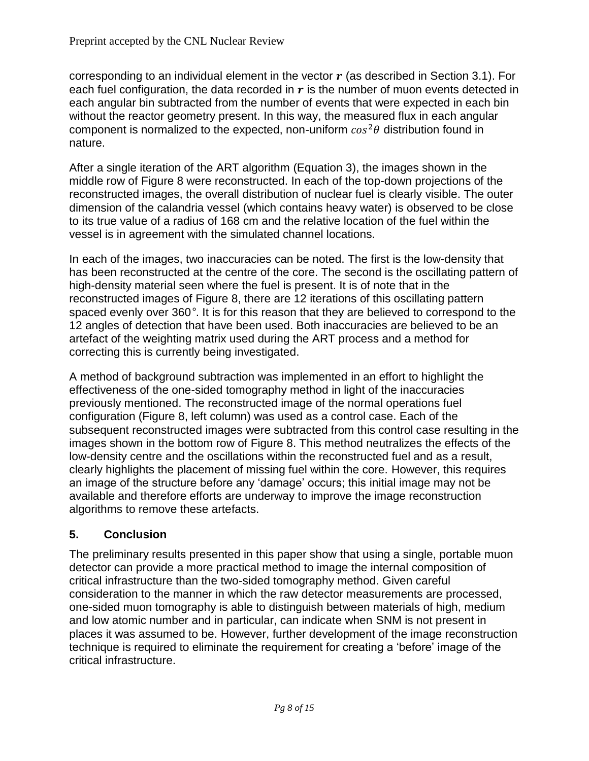corresponding to an individual element in the vector  $r$  (as described in Section 3.1). For each fuel configuration, the data recorded in  $r$  is the number of muon events detected in each angular bin subtracted from the number of events that were expected in each bin without the reactor geometry present. In this way, the measured flux in each angular component is normalized to the expected, non-uniform  $\cos^2\theta$  distribution found in nature.

After a single iteration of the ART algorithm (Equation 3), the images shown in the middle row of Figure 8 were reconstructed. In each of the top-down projections of the reconstructed images, the overall distribution of nuclear fuel is clearly visible. The outer dimension of the calandria vessel (which contains heavy water) is observed to be close to its true value of a radius of 168 cm and the relative location of the fuel within the vessel is in agreement with the simulated channel locations.

In each of the images, two inaccuracies can be noted. The first is the low-density that has been reconstructed at the centre of the core. The second is the oscillating pattern of high-density material seen where the fuel is present. It is of note that in the reconstructed images of Figure 8, there are 12 iterations of this oscillating pattern spaced evenly over 360*°*. It is for this reason that they are believed to correspond to the 12 angles of detection that have been used. Both inaccuracies are believed to be an artefact of the weighting matrix used during the ART process and a method for correcting this is currently being investigated.

A method of background subtraction was implemented in an effort to highlight the effectiveness of the one-sided tomography method in light of the inaccuracies previously mentioned. The reconstructed image of the normal operations fuel configuration (Figure 8, left column) was used as a control case. Each of the subsequent reconstructed images were subtracted from this control case resulting in the images shown in the bottom row of Figure 8. This method neutralizes the effects of the low-density centre and the oscillations within the reconstructed fuel and as a result, clearly highlights the placement of missing fuel within the core. However, this requires an image of the structure before any 'damage' occurs; this initial image may not be available and therefore efforts are underway to improve the image reconstruction algorithms to remove these artefacts.

## **5. Conclusion**

The preliminary results presented in this paper show that using a single, portable muon detector can provide a more practical method to image the internal composition of critical infrastructure than the two-sided tomography method. Given careful consideration to the manner in which the raw detector measurements are processed, one-sided muon tomography is able to distinguish between materials of high, medium and low atomic number and in particular, can indicate when SNM is not present in places it was assumed to be. However, further development of the image reconstruction technique is required to eliminate the requirement for creating a 'before' image of the critical infrastructure.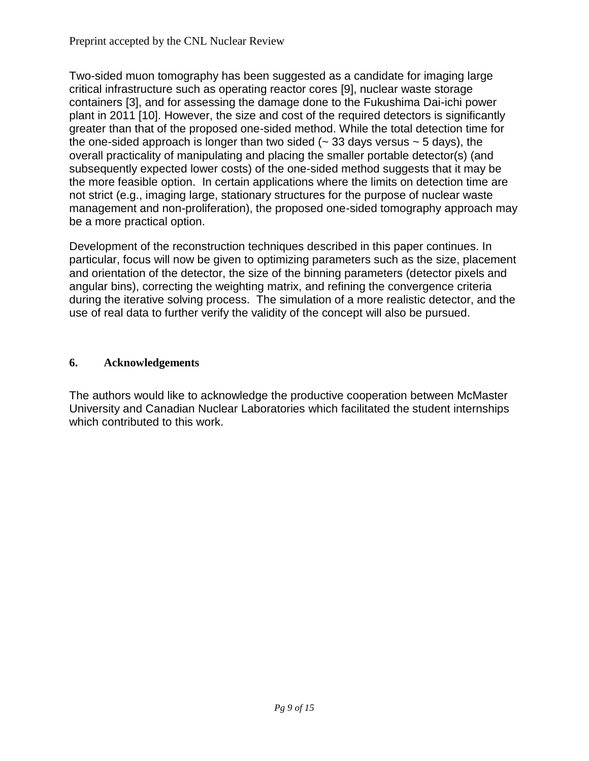Two-sided muon tomography has been suggested as a candidate for imaging large critical infrastructure such as operating reactor cores [9], nuclear waste storage containers [3], and for assessing the damage done to the Fukushima Dai-ichi power plant in 2011 [10]. However, the size and cost of the required detectors is significantly greater than that of the proposed one-sided method. While the total detection time for the one-sided approach is longer than two sided  $($   $\sim$  33 days versus  $\sim$  5 days), the overall practicality of manipulating and placing the smaller portable detector(s) (and subsequently expected lower costs) of the one-sided method suggests that it may be the more feasible option. In certain applications where the limits on detection time are not strict (e.g., imaging large, stationary structures for the purpose of nuclear waste management and non-proliferation), the proposed one-sided tomography approach may be a more practical option.

Development of the reconstruction techniques described in this paper continues. In particular, focus will now be given to optimizing parameters such as the size, placement and orientation of the detector, the size of the binning parameters (detector pixels and angular bins), correcting the weighting matrix, and refining the convergence criteria during the iterative solving process. The simulation of a more realistic detector, and the use of real data to further verify the validity of the concept will also be pursued.

#### **6. Acknowledgements**

The authors would like to acknowledge the productive cooperation between McMaster University and Canadian Nuclear Laboratories which facilitated the student internships which contributed to this work.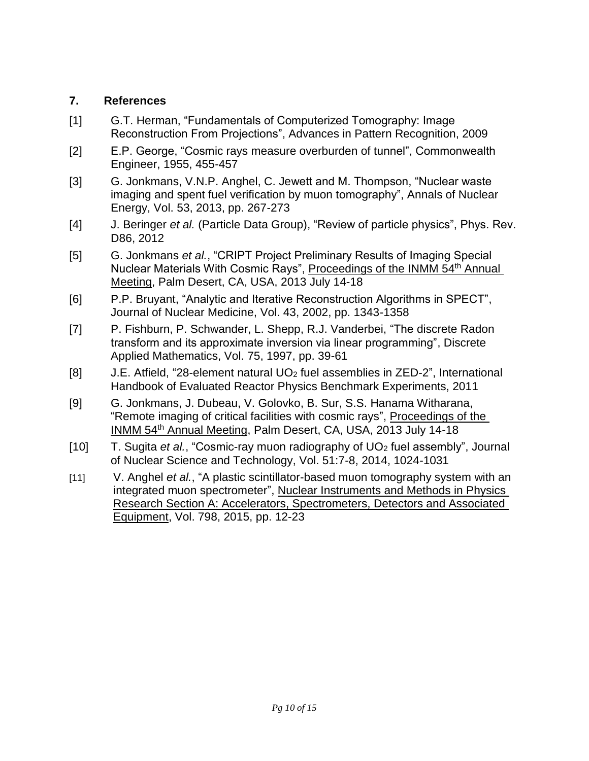#### **7. References**

- [1] G.T. Herman, "Fundamentals of Computerized Tomography: Image Reconstruction From Projections", Advances in Pattern Recognition, 2009
- [2] E.P. George, "Cosmic rays measure overburden of tunnel", Commonwealth Engineer, 1955, 455-457
- [3] G. Jonkmans, V.N.P. Anghel, C. Jewett and M. Thompson, "Nuclear waste imaging and spent fuel verification by muon tomography", Annals of Nuclear Energy, Vol. 53, 2013, pp. 267-273
- [4] J. Beringer *et al.* (Particle Data Group), "Review of particle physics", Phys. Rev. D86, 2012
- [5] G. Jonkmans *et al.*, "CRIPT Project Preliminary Results of Imaging Special Nuclear Materials With Cosmic Rays", Proceedings of the INMM 54th Annual Meeting, Palm Desert, CA, USA, 2013 July 14-18
- [6] P.P. Bruyant, "Analytic and Iterative Reconstruction Algorithms in SPECT", Journal of Nuclear Medicine, Vol. 43, 2002, pp. 1343-1358
- [7] P. Fishburn, P. Schwander, L. Shepp, R.J. Vanderbei, "The discrete Radon transform and its approximate inversion via linear programming", Discrete Applied Mathematics, Vol. 75, 1997, pp. 39-61
- [8] J.E. Atfield, "28-element natural UO<sup>2</sup> fuel assemblies in ZED-2", International Handbook of Evaluated Reactor Physics Benchmark Experiments, 2011
- [9] G. Jonkmans, J. Dubeau, V. Golovko, B. Sur, S.S. Hanama Witharana, "Remote imaging of critical facilities with cosmic rays", Proceedings of the INMM 54th Annual Meeting, Palm Desert, CA, USA, 2013 July 14-18
- [10] T. Sugita *et al.*, "Cosmic-ray muon radiography of UO<sup>2</sup> fuel assembly", Journal of Nuclear Science and Technology, Vol. 51:7-8, 2014, 1024-1031
- [11] V. Anghel *et al.*, "A plastic scintillator-based muon tomography system with an integrated muon spectrometer", Nuclear Instruments and Methods in Physics Research Section A: Accelerators, Spectrometers, Detectors and Associated Equipment, Vol. 798, 2015, pp. 12-23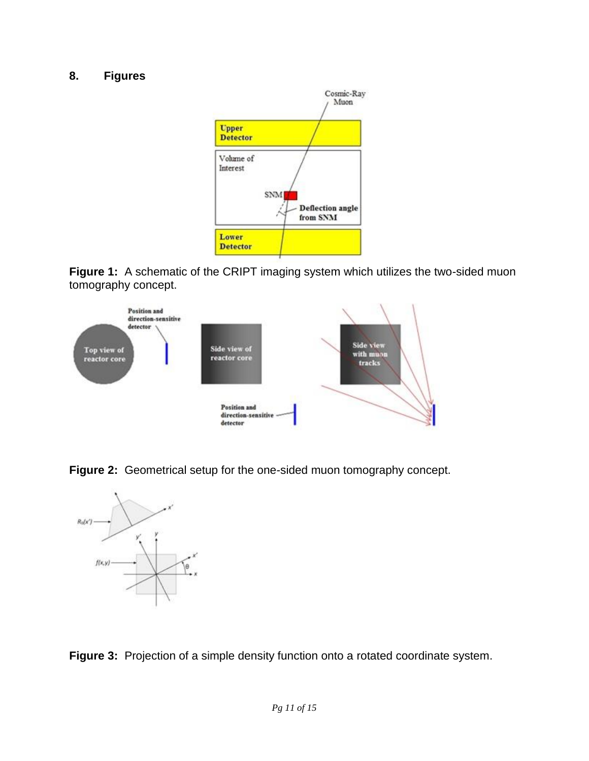#### **8. Figures**



**Figure 1:** A schematic of the CRIPT imaging system which utilizes the two-sided muon tomography concept.



**Figure 2:** Geometrical setup for the one-sided muon tomography concept.



**Figure 3:** Projection of a simple density function onto a rotated coordinate system.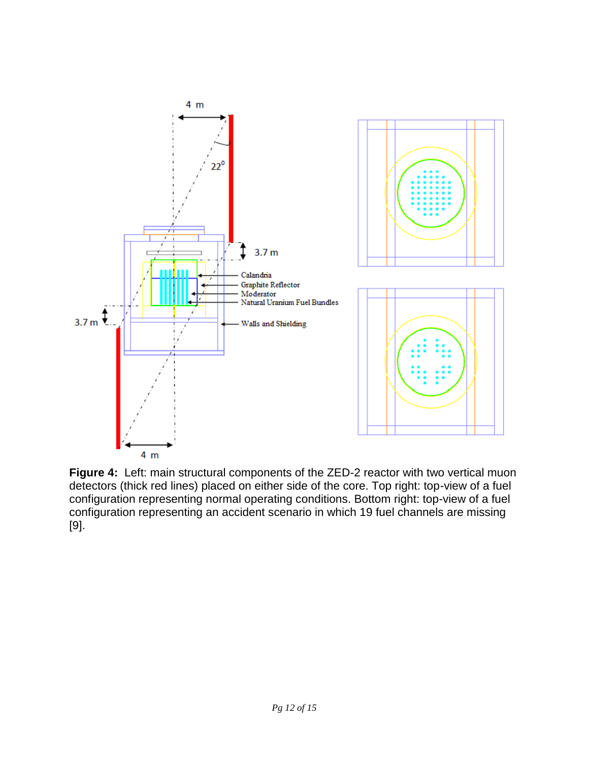

**Figure 4:** Left: main structural components of the ZED-2 reactor with two vertical muon detectors (thick red lines) placed on either side of the core. Top right: top-view of a fuel configuration representing normal operating conditions. Bottom right: top-view of a fuel configuration representing an accident scenario in which 19 fuel channels are missing [9].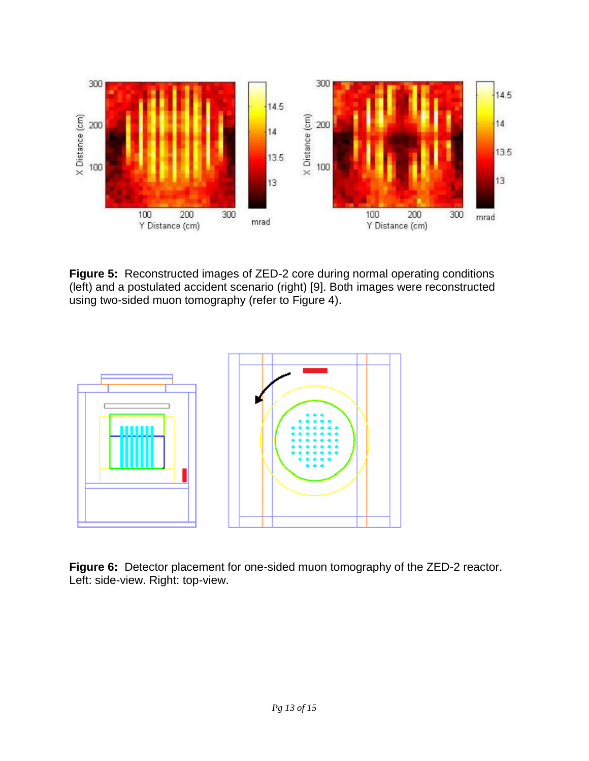

**Figure 5:** Reconstructed images of ZED-2 core during normal operating conditions (left) and a postulated accident scenario (right) [9]. Both images were reconstructed using two-sided muon tomography (refer to Figure 4).



**Figure 6:** Detector placement for one-sided muon tomography of the ZED-2 reactor. Left: side-view. Right: top-view.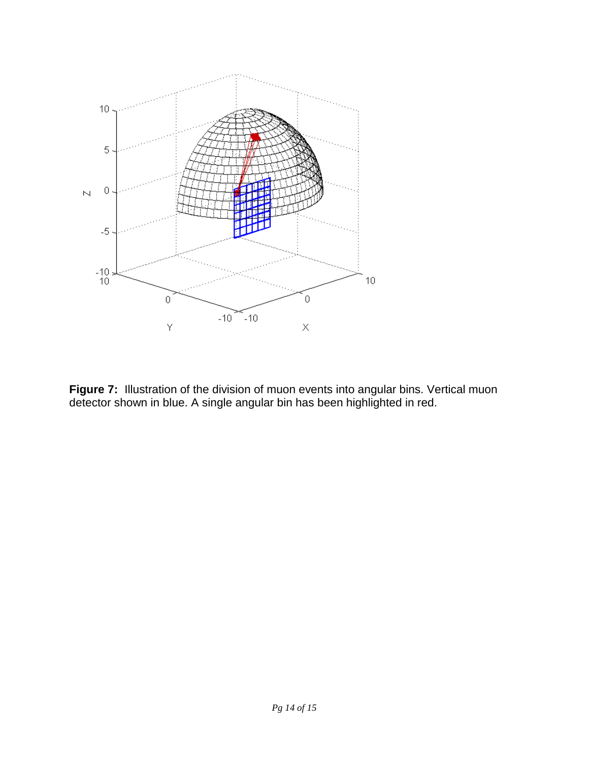

**Figure 7:** Illustration of the division of muon events into angular bins. Vertical muon detector shown in blue. A single angular bin has been highlighted in red.